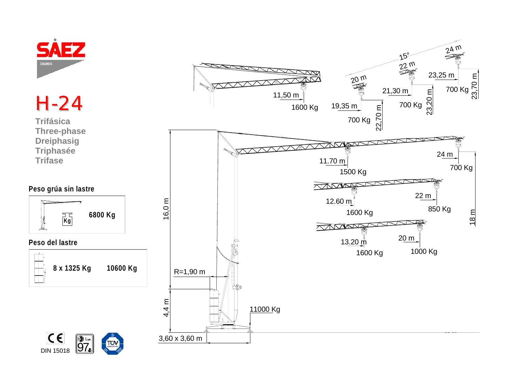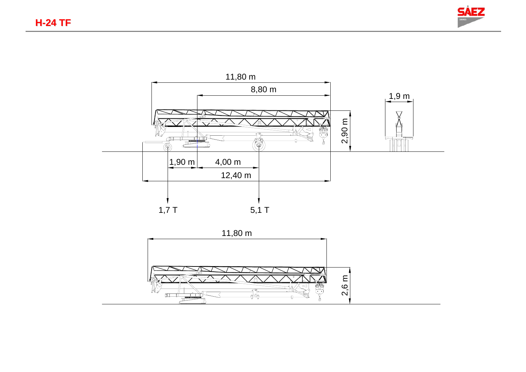



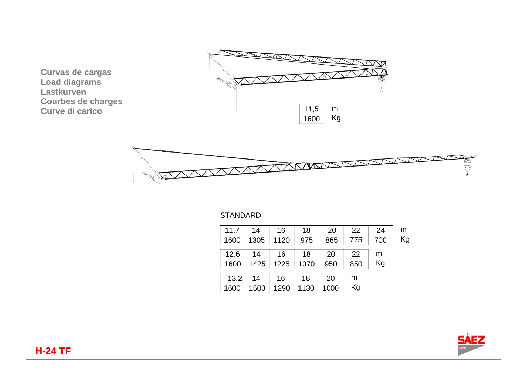**Curvas de cargas Load diagrams Lastkurven Courbes de charges Curve di carico**





## **STANDARD**

| 14   | 16   | 18   | 20   | 22  | 24  | m  |
|------|------|------|------|-----|-----|----|
| 1305 | 1120 | 975  | 865  | 775 | 700 | Kg |
|      |      |      |      |     |     |    |
| 14   | 16   | 18   | 20   | 22  | m   |    |
| 1425 | 1225 | 1070 | 950  | 850 | Kg  |    |
|      |      |      |      |     |     |    |
| 14   | 16   | 18   | 20   | m   |     |    |
| 1500 | 1290 | 1130 | 1000 | Kg  |     |    |
|      |      |      |      |     |     |    |

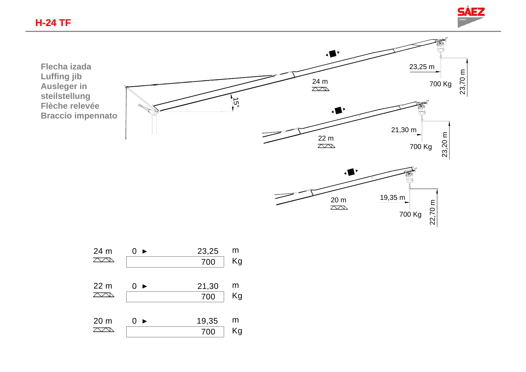



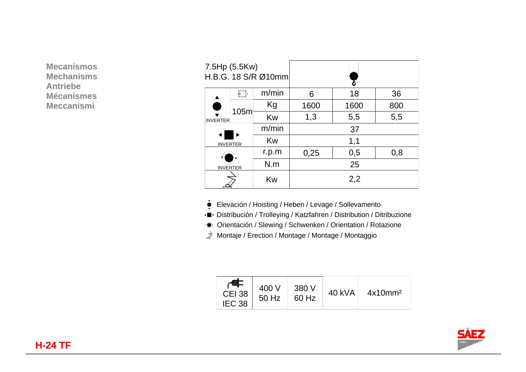**Mecanismos Mechanisms Antriebe Mécanismes Meccanismi** 

| 7.5Hp (5.5Kw)<br>H.B.G. 18 S/R Ø10mm  |      |       |      |      |     |  |  |
|---------------------------------------|------|-------|------|------|-----|--|--|
|                                       |      | m/min | 6    | 18   | 36  |  |  |
| <b>INVERTER</b>                       | 105m | Kg    | 1600 | 1600 | 800 |  |  |
|                                       |      | Kw    | 1,3  | 5,5  | 5,5 |  |  |
|                                       |      | m/min | 37   |      |     |  |  |
| <b>INVERTER</b>                       | Kw   | 1,1   |      |      |     |  |  |
| r.p.m<br>N.m<br><b>INVERTER</b><br>Kw |      |       | 0,25 | 0,5  | 0,8 |  |  |
|                                       |      |       | 25   |      |     |  |  |
|                                       |      | 2,2   |      |      |     |  |  |

- Elevación / Hoisting / Heben / Levage / Sollevamento
- Distribución / Trolleying / Katzfahren / Distribution / Ditribuzione
- Orientación / Slewing / Schwenken / Orientation / Rotazione
- $\vec{p}$  Montaje / Erection / Montage / Montage / Montaggio

| <b>CEI 38</b><br>IEC <sub>38</sub> | 400 V<br>50 Hz | 380 V<br>60 Hz | 40 kVA | 4x10mm <sup>2</sup> |
|------------------------------------|----------------|----------------|--------|---------------------|
|------------------------------------|----------------|----------------|--------|---------------------|

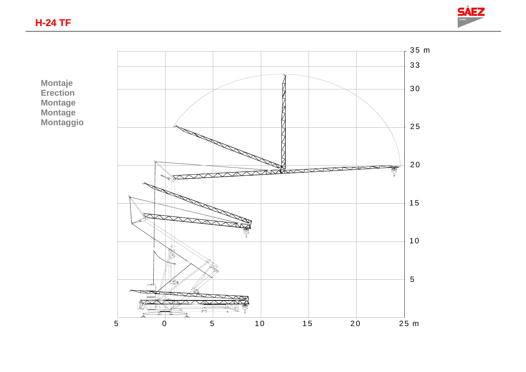



**Montaje Erection Montage Montage Montaggio**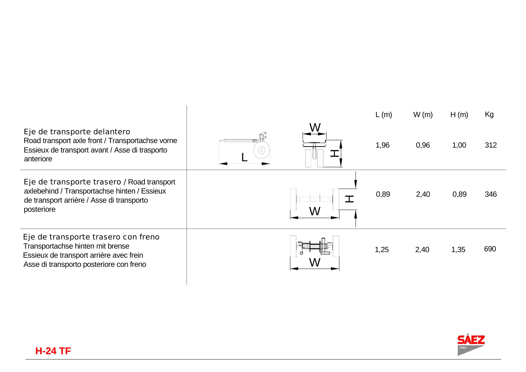|                                                                                                                                                               |     | L(m) | W(m) | H(m) | Kg  |
|---------------------------------------------------------------------------------------------------------------------------------------------------------------|-----|------|------|------|-----|
| Eje de transporte delantero<br>Road transport axle front / Transportachse vorne<br>Essieux de transport avant / Asse di trasporto<br>anteriore                | ′၀' | 1,96 | 0,96 | 1,00 | 312 |
| Eje de transporte trasero / Road transport<br>axlebehind / Transportachse hinten / Essieux<br>de transport arrière / Asse di transporto<br>posteriore         |     | 0,89 | 2,40 | 0,89 | 346 |
| Eje de transporte trasero con freno<br>Transportachse hinten mit brense<br>Essieux de transport arrière avec frein<br>Asse di transporto posteriore con freno |     | 1,25 | 2,40 | 1,35 | 690 |